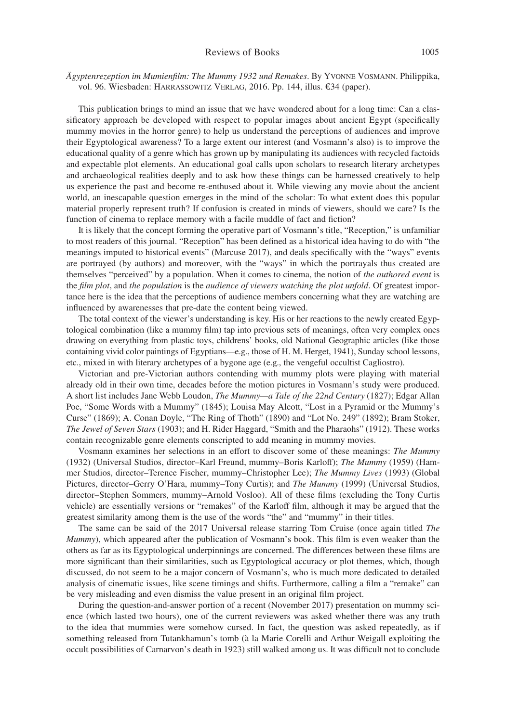*Ägyptenrezeption im Mumienfilm: The Mummy 1932 und Remakes*. By Yvonne Vosmann. Philippika, vol. 96. Wiesbaden: Harrassowitz Verlag, 2016. Pp. 144, illus. €34 (paper).

This publication brings to mind an issue that we have wondered about for a long time: Can a classificatory approach be developed with respect to popular images about ancient Egypt (specifically mummy movies in the horror genre) to help us understand the perceptions of audiences and improve their Egyptological awareness? To a large extent our interest (and Vosmann's also) is to improve the educational quality of a genre which has grown up by manipulating its audiences with recycled factoids and expectable plot elements. An educational goal calls upon scholars to research literary archetypes and archaeological realities deeply and to ask how these things can be harnessed creatively to help us experience the past and become re-enthused about it. While viewing any movie about the ancient world, an inescapable question emerges in the mind of the scholar: To what extent does this popular material properly represent truth? If confusion is created in minds of viewers, should we care? Is the function of cinema to replace memory with a facile muddle of fact and fiction?

It is likely that the concept forming the operative part of Vosmann's title, "Reception," is unfamiliar to most readers of this journal. "Reception" has been defined as a historical idea having to do with "the meanings imputed to historical events" (Marcuse 2017), and deals specifically with the "ways" events are portrayed (by authors) and moreover, with the "ways" in which the portrayals thus created are themselves "perceived" by a population. When it comes to cinema, the notion of *the authored event* is the *film plot*, and *the population* is the *audience of viewers watching the plot unfold*. Of greatest importance here is the idea that the perceptions of audience members concerning what they are watching are influenced by awarenesses that pre-date the content being viewed.

The total context of the viewer's understanding is key. His or her reactions to the newly created Egyptological combination (like a mummy film) tap into previous sets of meanings, often very complex ones drawing on everything from plastic toys, childrens' books, old National Geographic articles (like those containing vivid color paintings of Egyptians—e.g., those of H. M. Herget, 1941), Sunday school lessons, etc., mixed in with literary archetypes of a bygone age (e.g., the vengeful occultist Cagliostro).

Victorian and pre-Victorian authors contending with mummy plots were playing with material already old in their own time, decades before the motion pictures in Vosmann's study were produced. A short list includes Jane Webb Loudon, *The Mummy—a Tale of the 22nd Century* (1827); Edgar Allan Poe, "Some Words with a Mummy" (1845); Louisa May Alcott, "Lost in a Pyramid or the Mummy's Curse" (1869); A. Conan Doyle, "The Ring of Thoth" (1890) and "Lot No. 249" (1892); Bram Stoker, *The Jewel of Seven Stars* (1903); and H. Rider Haggard, "Smith and the Pharaohs" (1912). These works contain recognizable genre elements conscripted to add meaning in mummy movies.

Vosmann examines her selections in an effort to discover some of these meanings: *The Mummy* (1932) (Universal Studios, director–Karl Freund, mummy–Boris Karloff); *The Mummy* (1959) (Hammer Studios, director–Terence Fischer, mummy–Christopher Lee); *The Mummy Lives* (1993) (Global Pictures, director–Gerry O'Hara, mummy–Tony Curtis); and *The Mummy* (1999) (Universal Studios, director–Stephen Sommers, mummy–Arnold Vosloo). All of these films (excluding the Tony Curtis vehicle) are essentially versions or "remakes" of the Karloff film, although it may be argued that the greatest similarity among them is the use of the words "the" and "mummy" in their titles.

The same can be said of the 2017 Universal release starring Tom Cruise (once again titled *The Mummy*), which appeared after the publication of Vosmann's book. This film is even weaker than the others as far as its Egyptological underpinnings are concerned. The differences between these films are more significant than their similarities, such as Egyptological accuracy or plot themes, which, though discussed, do not seem to be a major concern of Vosmann's, who is much more dedicated to detailed analysis of cinematic issues, like scene timings and shifts. Furthermore, calling a film a "remake" can be very misleading and even dismiss the value present in an original film project.

During the question-and-answer portion of a recent (November 2017) presentation on mummy science (which lasted two hours), one of the current reviewers was asked whether there was any truth to the idea that mummies were somehow cursed. In fact, the question was asked repeatedly, as if something released from Tutankhamun's tomb (à la Marie Corelli and Arthur Weigall exploiting the occult possibilities of Carnarvon's death in 1923) still walked among us. It was difficult not to conclude